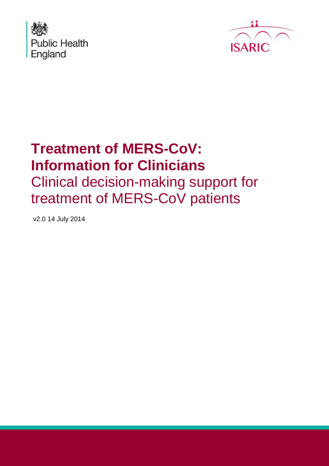



# **Treatment of MERS-CoV: Information for Clinicians** Clinical decision-making support for treatment of MERS-CoV patients

v2.0 14 July 2014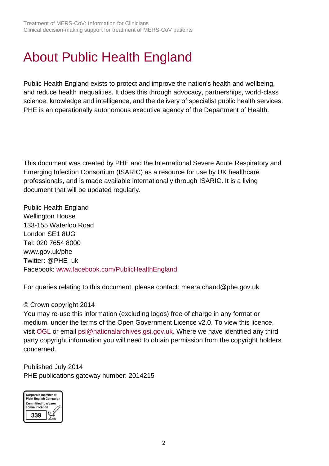# <span id="page-1-0"></span>About Public Health England

Public Health England exists to protect and improve the nation's health and wellbeing, and reduce health inequalities. It does this through advocacy, partnerships, world-class science, knowledge and intelligence, and the delivery of specialist public health services. PHE is an operationally autonomous executive agency of the Department of Health.

This document was created by PHE and the International Severe Acute Respiratory and Emerging Infection Consortium (ISARIC) as a resource for use by UK healthcare professionals, and is made available internationally through ISARIC. It is a living document that will be updated regularly.

Public Health England Wellington House 133-155 Waterloo Road London SE1 8UG Tel: 020 7654 8000 [www.gov.uk/phe](http://www.gov.uk/phe) Twitter: [@PHE\\_uk](https://twitter.com/PHE_uk) Facebook: [www.facebook.com/PublicHealthEngland](http://www.facebook.com/PublicHealthEngland)

For queries relating to this document, please contact: meera.chand@phe.gov.uk

#### © Crown copyright 2014

You may re-use this information (excluding logos) free of charge in any format or medium, under the terms of the Open Government Licence v2.0. To view this licence, visit [OGL](https://www.nationalarchives.gov.uk/doc/open-government-licence/version/2/) or email [psi@nationalarchives.gsi.gov.uk.](mailto:psi@nationalarchives.gsi.gov.uk) Where we have identified any third party copyright information you will need to obtain permission from the copyright holders concerned.

Published July 2014 PHE publications gateway number: 2014215

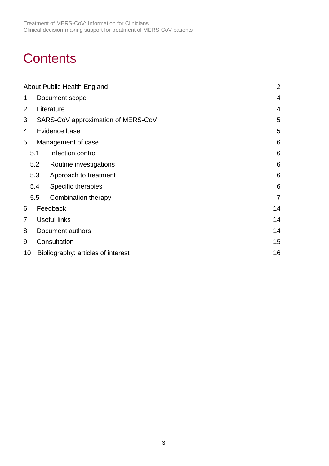# **Contents**

|                          | About Public Health England              |                                    |                |  |  |  |  |
|--------------------------|------------------------------------------|------------------------------------|----------------|--|--|--|--|
| 1                        |                                          | Document scope                     |                |  |  |  |  |
| $\overline{2}$           |                                          | Literature                         | $\overline{4}$ |  |  |  |  |
| 3                        |                                          | SARS-CoV approximation of MERS-CoV | 5              |  |  |  |  |
| 4                        |                                          | Evidence base                      | 5              |  |  |  |  |
| 5                        |                                          | Management of case                 | 6              |  |  |  |  |
|                          | Infection control<br>5.1                 |                                    | 6              |  |  |  |  |
|                          | 5.2                                      | Routine investigations             | 6              |  |  |  |  |
|                          | 5.3<br>Approach to treatment             |                                    | 6              |  |  |  |  |
|                          | 5.4                                      | Specific therapies                 | 6              |  |  |  |  |
|                          | 5.5                                      | Combination therapy                | $\overline{7}$ |  |  |  |  |
| 6                        | Feedback                                 |                                    |                |  |  |  |  |
| 7<br><b>Useful links</b> |                                          |                                    |                |  |  |  |  |
| 8                        | Document authors                         |                                    |                |  |  |  |  |
| 9                        | Consultation                             | 15                                 |                |  |  |  |  |
|                          | 10<br>Bibliography: articles of interest |                                    |                |  |  |  |  |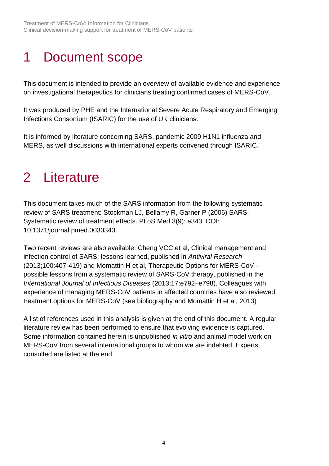## <span id="page-3-0"></span>1 Document scope

This document is intended to provide an overview of available evidence and experience on investigational therapeutics for clinicians treating confirmed cases of MERS-CoV.

It was produced by PHE and the International Severe Acute Respiratory and Emerging Infections Consortium (ISARIC) for the use of UK clinicians.

It is informed by literature concerning SARS, pandemic 2009 H1N1 influenza and MERS, as well discussions with international experts convened through ISARIC.

## <span id="page-3-1"></span>2 Literature

This document takes much of the SARS information from the following systematic review of SARS treatment: Stockman LJ, Bellamy R, Garner P (2006) SARS: Systematic review of treatment effects. PLoS Med 3(9): e343. DOI: 10.1371/journal.pmed.0030343.

Two recent reviews are also available: Cheng VCC et al, Clinical management and infection control of SARS: lessons learned, published in *Antiviral Research* (2013;100:407-419) and Momattin H et al, Therapeutic Options for MERS-CoV – possible lessons from a systematic review of SARS-CoV therapy, published in the *International Journal of Infectious Diseases* (2013;17:e792–e798). Colleagues with experience of managing MERS-CoV patients in affected countries have also reviewed treatment options for MERS-CoV (see bibliography and Momattin H et al, 2013)

A list of references used in this analysis is given at the end of this document. A regular literature review has been performed to ensure that evolving evidence is captured. Some information contained herein is unpublished *in vitro* and animal model work on MERS-CoV from several international groups to whom we are indebted. Experts consulted are listed at the end.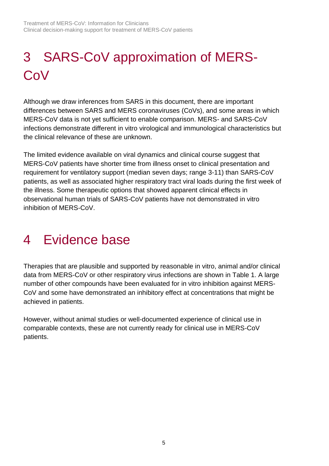# <span id="page-4-0"></span>3 SARS-CoV approximation of MERS-**CoV**

Although we draw inferences from SARS in this document, there are important differences between SARS and MERS coronaviruses (CoVs), and some areas in which MERS-CoV data is not yet sufficient to enable comparison. MERS- and SARS-CoV infections demonstrate different in vitro virological and immunological characteristics but the clinical relevance of these are unknown.

The limited evidence available on viral dynamics and clinical course suggest that MERS-CoV patients have shorter time from illness onset to clinical presentation and requirement for ventilatory support (median seven days; range 3-11) than SARS-CoV patients, as well as associated higher respiratory tract viral loads during the first week of the illness. Some therapeutic options that showed apparent clinical effects in observational human trials of SARS-CoV patients have not demonstrated in vitro inhibition of MERS-CoV.

## <span id="page-4-1"></span>4 Evidence base

Therapies that are plausible and supported by reasonable in vitro, animal and/or clinical data from MERS-CoV or other respiratory virus infections are shown in Table 1. A large number of other compounds have been evaluated for in vitro inhibition against MERS-CoV and some have demonstrated an inhibitory effect at concentrations that might be achieved in patients.

However, without animal studies or well-documented experience of clinical use in comparable contexts, these are not currently ready for clinical use in MERS-CoV patients.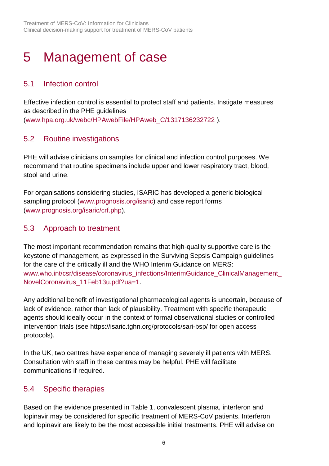## <span id="page-5-0"></span>5 Management of case

### <span id="page-5-1"></span>5.1 Infection control

Effective infection control is essential to protect staff and patients. Instigate measures as described in the PHE guidelines [\(www.hpa.org.uk/webc/HPAwebFile/HPAweb\\_C/1317136232722](http://www.hpa.org.uk/webc/HPAwebFile/HPAweb_C/1317136232722) ).

### <span id="page-5-2"></span>5.2 Routine investigations

PHE will advise clinicians on samples for clinical and infection control purposes. We recommend that routine specimens include upper and lower respiratory tract, blood, stool and urine.

For organisations considering studies, ISARIC has developed a generic biological sampling protocol [\(www.prognosis.org/isaric\)](http://www.prognosis.org/isaric) and case report forms [\(www.prognosis.org/isaric/crf.php\)](http://www.prognosis.org/isaric/crf.php).

### <span id="page-5-3"></span>5.3 Approach to treatment

The most important recommendation remains that high-quality supportive care is the keystone of management, as expressed in the Surviving Sepsis Campaign guidelines for the care of the critically ill and the WHO Interim Guidance on MERS: www.who.int/csr/disease/coronavirus\_infections/InterimGuidance\_ClinicalManagement [NovelCoronavirus\\_11Feb13u.pdf?ua=1.](http://www.who.int/csr/disease/coronavirus_infections/InterimGuidance_ClinicalManagement_NovelCoronavirus_11Feb13u.pdf?ua=1)

Any additional benefit of investigational pharmacological agents is uncertain, because of lack of evidence, rather than lack of plausibility. Treatment with specific therapeutic agents should ideally occur in the context of formal observational studies or controlled intervention trials (see<https://isaric.tghn.org/protocols/sari-bsp/> for open access protocols).

In the UK, two centres have experience of managing severely ill patients with MERS. Consultation with staff in these centres may be helpful. PHE will facilitate communications if required.

### <span id="page-5-4"></span>5.4 Specific therapies

Based on the evidence presented in Table 1, convalescent plasma, interferon and lopinavir may be considered for specific treatment of MERS-CoV patients. Interferon and lopinavir are likely to be the most accessible initial treatments. PHE will advise on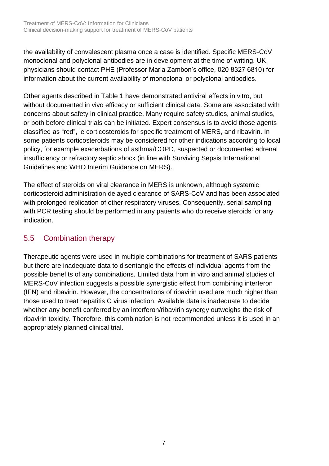the availability of convalescent plasma once a case is identified. Specific MERS-CoV monoclonal and polyclonal antibodies are in development at the time of writing. UK physicians should contact PHE (Professor Maria Zambon's office, 020 8327 6810) for information about the current availability of monoclonal or polyclonal antibodies.

Other agents described in Table 1 have demonstrated antiviral effects in vitro, but without documented in vivo efficacy or sufficient clinical data. Some are associated with concerns about safety in clinical practice. Many require safety studies, animal studies, or both before clinical trials can be initiated. Expert consensus is to avoid those agents classified as "red", ie corticosteroids for specific treatment of MERS, and ribavirin. In some patients corticosteroids may be considered for other indications according to local policy, for example exacerbations of asthma/COPD, suspected or documented adrenal insufficiency or refractory septic shock (in line with Surviving Sepsis International Guidelines and WHO Interim Guidance on MERS).

The effect of steroids on viral clearance in MERS is unknown, although systemic corticosteroid administration delayed clearance of SARS-CoV and has been associated with prolonged replication of other respiratory viruses. Consequently, serial sampling with PCR testing should be performed in any patients who do receive steroids for any indication.

### <span id="page-6-0"></span>5.5 Combination therapy

Therapeutic agents were used in multiple combinations for treatment of SARS patients but there are inadequate data to disentangle the effects of individual agents from the possible benefits of any combinations. Limited data from in vitro and animal studies of MERS-CoV infection suggests a possible synergistic effect from combining interferon (IFN) and ribavirin. However, the concentrations of ribavirin used are much higher than those used to treat hepatitis C virus infection. Available data is inadequate to decide whether any benefit conferred by an interferon/ribavirin synergy outweighs the risk of ribavirin toxicity. Therefore, this combination is not recommended unless it is used in an appropriately planned clinical trial.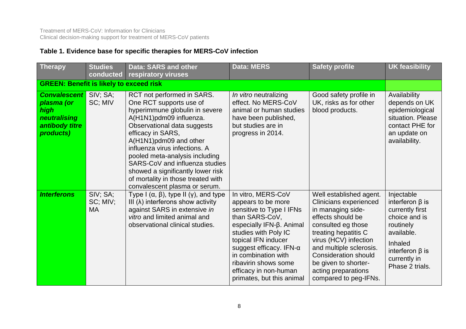### **Table 1. Evidence base for specific therapies for MERS-CoV infection**

| <b>Therapy</b>                                                                           | <b>Studies</b><br>conducted       | Data: SARS and other<br>respiratory viruses                                                                                                                                                                                                                                                                                                                                                                       | <b>Data: MERS</b>                                                                                                                                                                                                                                                                                         | <b>Safety profile</b>                                                                                                                                                                                                                                                                                       | <b>UK feasibility</b>                                                                                                                                                     |  |
|------------------------------------------------------------------------------------------|-----------------------------------|-------------------------------------------------------------------------------------------------------------------------------------------------------------------------------------------------------------------------------------------------------------------------------------------------------------------------------------------------------------------------------------------------------------------|-----------------------------------------------------------------------------------------------------------------------------------------------------------------------------------------------------------------------------------------------------------------------------------------------------------|-------------------------------------------------------------------------------------------------------------------------------------------------------------------------------------------------------------------------------------------------------------------------------------------------------------|---------------------------------------------------------------------------------------------------------------------------------------------------------------------------|--|
| <b>GREEN: Benefit is likely to exceed risk</b>                                           |                                   |                                                                                                                                                                                                                                                                                                                                                                                                                   |                                                                                                                                                                                                                                                                                                           |                                                                                                                                                                                                                                                                                                             |                                                                                                                                                                           |  |
| <b>Convalescent</b><br>plasma (or<br>high<br>neutralising<br>antibody titre<br>products) | SIV; SA;<br>SC; MIV               | RCT not performed in SARS.<br>One RCT supports use of<br>hyperimmune globulin in severe<br>A(H1N1)pdm09 influenza.<br>Observational data suggests<br>efficacy in SARS,<br>A(H1N1)pdm09 and other<br>influenza virus infections. A<br>pooled meta-analysis including<br>SARS-CoV and influenza studies<br>showed a significantly lower risk<br>of mortality in those treated with<br>convalescent plasma or serum. | In vitro neutralizing<br>effect. No MERS-CoV<br>animal or human studies<br>have been published,<br>but studies are in<br>progress in 2014.                                                                                                                                                                | Good safety profile in<br>UK, risks as for other<br>blood products.                                                                                                                                                                                                                                         | Availability<br>depends on UK<br>epidemiological<br>situation. Please<br>contact PHE for<br>an update on<br>availability.                                                 |  |
| <b>Interferons</b>                                                                       | SIV; SA;<br>SC; MIV;<br><b>MA</b> | Type I $(\alpha, \beta)$ , type II $(\gamma)$ , and type<br>III $(\lambda)$ interferons show activity<br>against SARS in extensive in<br>vitro and limited animal and<br>observational clinical studies.                                                                                                                                                                                                          | In vitro, MERS-CoV<br>appears to be more<br>sensitive to Type I IFNs<br>than SARS-CoV,<br>especially IFN-β. Animal<br>studies with Poly IC<br>topical IFN inducer<br>suggest efficacy. IFN- $\alpha$<br>in combination with<br>ribavirin shows some<br>efficacy in non-human<br>primates, but this animal | Well established agent.<br><b>Clinicians experienced</b><br>in managing side-<br>effects should be<br>consulted eg those<br>treating hepatitis C<br>virus (HCV) infection<br>and multiple sclerosis.<br><b>Consideration should</b><br>be given to shorter-<br>acting preparations<br>compared to peg-IFNs. | Injectable<br>interferon $\beta$ is<br>currently first<br>choice and is<br>routinely<br>available.<br>Inhaled<br>interferon $\beta$ is<br>currently in<br>Phase 2 trials. |  |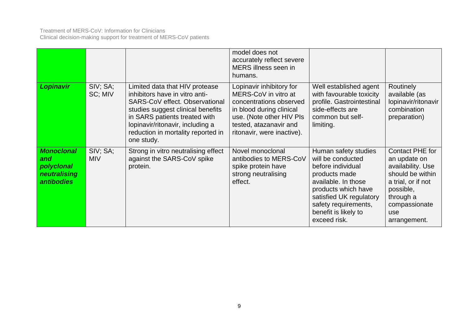#### Treatment of MERS-CoV: Information for Clinicians Clinical decision-making support for treatment of MERS-CoV patients

|                                                                             |                        |                                                                                                                                                                                                                                                                  | model does not<br>accurately reflect severe<br>MERS illness seen in<br>humans.                                                                                                              |                                                                                                                                                                                                                          |                                                                                                                                                                  |
|-----------------------------------------------------------------------------|------------------------|------------------------------------------------------------------------------------------------------------------------------------------------------------------------------------------------------------------------------------------------------------------|---------------------------------------------------------------------------------------------------------------------------------------------------------------------------------------------|--------------------------------------------------------------------------------------------------------------------------------------------------------------------------------------------------------------------------|------------------------------------------------------------------------------------------------------------------------------------------------------------------|
| Lopinavir                                                                   | SIV; SA;<br>SC; MIV    | Limited data that HIV protease<br>inhibitors have in vitro anti-<br>SARS-CoV effect. Observational<br>studies suggest clinical benefits<br>in SARS patients treated with<br>lopinavir/ritonavir, including a<br>reduction in mortality reported in<br>one study. | Lopinavir inhibitory for<br>MERS-CoV in vitro at<br>concentrations observed<br>in blood during clinical<br>use. (Note other HIV PIs<br>tested, atazanavir and<br>ritonavir, were inactive). | Well established agent<br>with favourable toxicity<br>profile. Gastrointestinal<br>side-effects are<br>common but self-<br>limiting.                                                                                     | Routinely<br>available (as<br>lopinavir/ritonavir<br>combination<br>preparation)                                                                                 |
| <b>Monoclonal</b><br>and<br>polyclonal<br>neutralising<br><b>antibodies</b> | SIV; SA;<br><b>MIV</b> | Strong in vitro neutralising effect<br>against the SARS-CoV spike<br>protein.                                                                                                                                                                                    | Novel monoclonal<br>antibodies to MERS-CoV<br>spike protein have<br>strong neutralising<br>effect.                                                                                          | Human safety studies<br>will be conducted<br>before individual<br>products made<br>available. In those<br>products which have<br>satisfied UK regulatory<br>safety requirements,<br>benefit is likely to<br>exceed risk. | Contact PHE for<br>an update on<br>availability. Use<br>should be within<br>a trial, or if not<br>possible,<br>through a<br>compassionate<br>use<br>arrangement. |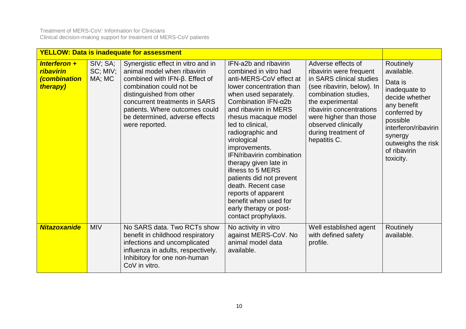|                                                                             |                                | <b>YELLOW: Data is inadequate for assessment</b>                                                                                                                                                                                                                                          |                                                                                                                                                                                                                                                                                                                                                                                                                                                                                                                      |                                                                                                                                                                                                                                                                         |                                                                                                                                                                                                        |
|-----------------------------------------------------------------------------|--------------------------------|-------------------------------------------------------------------------------------------------------------------------------------------------------------------------------------------------------------------------------------------------------------------------------------------|----------------------------------------------------------------------------------------------------------------------------------------------------------------------------------------------------------------------------------------------------------------------------------------------------------------------------------------------------------------------------------------------------------------------------------------------------------------------------------------------------------------------|-------------------------------------------------------------------------------------------------------------------------------------------------------------------------------------------------------------------------------------------------------------------------|--------------------------------------------------------------------------------------------------------------------------------------------------------------------------------------------------------|
| Interferon $+$<br><b>ribavirin</b><br><i><b>combination</b></i><br>therapy) | SIV; SA;<br>SC; MIV;<br>MA; MC | Synergistic effect in vitro and in<br>animal model when ribavirin<br>combined with $IFN-\beta$ . Effect of<br>combination could not be<br>distinguished from other<br>concurrent treatments in SARS<br>patients. Where outcomes could<br>be determined, adverse effects<br>were reported. | IFN-a2b and ribavirin<br>combined in vitro had<br>anti-MERS-CoV effect at<br>lower concentration than<br>when used separately.<br>Combination $IFN-\alpha2b$<br>and ribavirin in MERS<br>rhesus macaque model<br>led to clinical,<br>radiographic and<br>virological<br>improvements.<br>IFN/ribavirin combination<br>therapy given late in<br>illness to 5 MERS<br>patients did not prevent<br>death. Recent case<br>reports of apparent<br>benefit when used for<br>early therapy or post-<br>contact prophylaxis. | Adverse effects of<br>ribavirin were frequent<br>in SARS clinical studies<br>(see ribavirin, below). In<br>combination studies,<br>the experimental<br>ribavirin concentrations<br>were higher than those<br>observed clinically<br>during treatment of<br>hepatitis C. | Routinely<br>available.<br>Data is<br>inadequate to<br>decide whether<br>any benefit<br>conferred by<br>possible<br>interferon/ribavirin<br>synergy<br>outweighs the risk<br>of ribavirin<br>toxicity. |
| <b>Nitazoxanide</b>                                                         | <b>MIV</b>                     | No SARS data. Two RCTs show<br>benefit in childhood respiratory<br>infections and uncomplicated<br>influenza in adults, respectively.<br>Inhibitory for one non-human<br>CoV in vitro.                                                                                                    | No activity in vitro<br>against MERS-CoV. No<br>animal model data<br>available.                                                                                                                                                                                                                                                                                                                                                                                                                                      | Well established agent<br>with defined safety<br>profile.                                                                                                                                                                                                               | Routinely<br>available.                                                                                                                                                                                |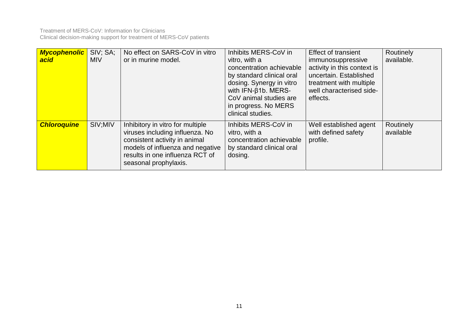| <b>Mycophenolic</b><br>acid | SIV; SA;<br><b>MIV</b> | No effect on SARS-CoV in vitro<br>or in murine model.                                                                                                                                                | Inhibits MERS-CoV in<br>vitro, with a<br>concentration achievable<br>by standard clinical oral<br>dosing. Synergy in vitro<br>with IFN-β1b. MERS-<br>CoV animal studies are<br>in progress. No MERS<br>clinical studies. | <b>Effect of transient</b><br>immunosuppressive<br>activity in this context is<br>uncertain. Established<br>treatment with multiple<br>well characterised side-<br>effects. | Routinely<br>available. |
|-----------------------------|------------------------|------------------------------------------------------------------------------------------------------------------------------------------------------------------------------------------------------|--------------------------------------------------------------------------------------------------------------------------------------------------------------------------------------------------------------------------|-----------------------------------------------------------------------------------------------------------------------------------------------------------------------------|-------------------------|
| <b>Chloroquine</b>          | SIV;MIV                | Inhibitory in vitro for multiple<br>viruses including influenza. No<br>consistent activity in animal<br>models of influenza and negative<br>results in one influenza RCT of<br>seasonal prophylaxis. | Inhibits MERS-CoV in<br>vitro, with a<br>concentration achievable<br>by standard clinical oral<br>dosing.                                                                                                                | Well established agent<br>with defined safety<br>profile.                                                                                                                   | Routinely<br>available  |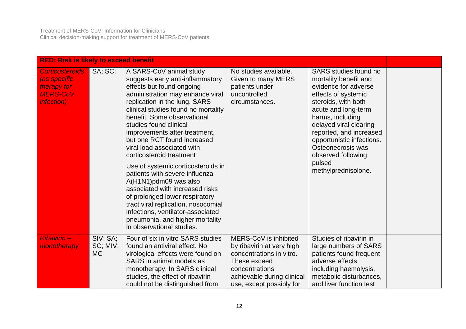Treatment of MERS-CoV: Information for Clinicians Clinical decision-making support for treatment of MERS-CoV patients

| <b>RED: Risk is likely to exceed benefit</b>                                                   |                                   |                                                                                                                                                                                                                                                                                                                                                                                                                                                                                                                                                                                                                                                                                                           |                                                                                                                                                                            |                                                                                                                                                                                                                                                                                                                               |  |  |  |
|------------------------------------------------------------------------------------------------|-----------------------------------|-----------------------------------------------------------------------------------------------------------------------------------------------------------------------------------------------------------------------------------------------------------------------------------------------------------------------------------------------------------------------------------------------------------------------------------------------------------------------------------------------------------------------------------------------------------------------------------------------------------------------------------------------------------------------------------------------------------|----------------------------------------------------------------------------------------------------------------------------------------------------------------------------|-------------------------------------------------------------------------------------------------------------------------------------------------------------------------------------------------------------------------------------------------------------------------------------------------------------------------------|--|--|--|
| <b>Corticosteroids</b><br>(as specific<br>therapy for<br><b>MERS-CoV</b><br><i>infection</i> ) | SA; SC;                           | A SARS-CoV animal study<br>suggests early anti-inflammatory<br>effects but found ongoing<br>administration may enhance viral<br>replication in the lung. SARS<br>clinical studies found no mortality<br>benefit. Some observational<br>studies found clinical<br>improvements after treatment,<br>but one RCT found increased<br>viral load associated with<br>corticosteroid treatment<br>Use of systemic corticosteroids in<br>patients with severe influenza<br>A(H1N1)pdm09 was also<br>associated with increased risks<br>of prolonged lower respiratory<br>tract viral replication, nosocomial<br>infections, ventilator-associated<br>pneumonia, and higher mortality<br>in observational studies. | No studies available.<br>Given to many MERS<br>patients under<br>uncontrolled<br>circumstances.                                                                            | SARS studies found no<br>mortality benefit and<br>evidence for adverse<br>effects of systemic<br>steroids, with both<br>acute and long-term<br>harms, including<br>delayed viral clearing<br>reported, and increased<br>opportunistic infections.<br>Osteonecrosis was<br>observed following<br>pulsed<br>methylprednisolone. |  |  |  |
| Ribavirin-<br>monotherapy                                                                      | SIV; SA;<br>SC; MIV;<br><b>MC</b> | Four of six in vitro SARS studies<br>found an antiviral effect. No<br>virological effects were found on<br>SARS in animal models as<br>monotherapy. In SARS clinical<br>studies, the effect of ribavirin<br>could not be distinguished from                                                                                                                                                                                                                                                                                                                                                                                                                                                               | MERS-CoV is inhibited<br>by ribavirin at very high<br>concentrations in vitro.<br>These exceed<br>concentrations<br>achievable during clinical<br>use, except possibly for | Studies of ribavirin in<br>large numbers of SARS<br>patients found frequent<br>adverse effects<br>including haemolysis,<br>metabolic disturbances,<br>and liver function test                                                                                                                                                 |  |  |  |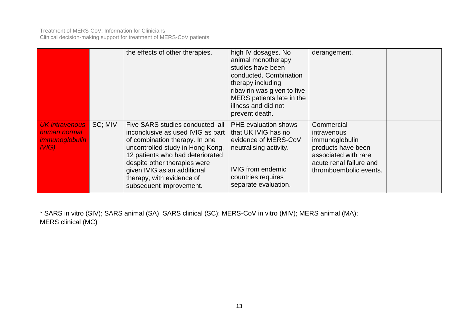|                                                                                |         | the effects of other therapies.                                                                                                                                                                                                                                                                        | high IV dosages. No<br>animal monotherapy<br>studies have been<br>conducted. Combination<br>therapy including<br>ribavirin was given to five<br>MERS patients late in the<br>illness and did not<br>prevent death. | derangement.                                                                                                                                   |  |
|--------------------------------------------------------------------------------|---------|--------------------------------------------------------------------------------------------------------------------------------------------------------------------------------------------------------------------------------------------------------------------------------------------------------|--------------------------------------------------------------------------------------------------------------------------------------------------------------------------------------------------------------------|------------------------------------------------------------------------------------------------------------------------------------------------|--|
| <b>UK</b> intravenous<br>human normal<br><i>immunoglobulin</i><br><b>IVIG)</b> | SC; MIV | Five SARS studies conducted; all<br>inconclusive as used IVIG as part<br>of combination therapy. In one<br>uncontrolled study in Hong Kong,<br>12 patients who had deteriorated<br>despite other therapies were<br>given IVIG as an additional<br>therapy, with evidence of<br>subsequent improvement. | <b>PHE</b> evaluation shows<br>that UK IVIG has no<br>evidence of MERS-CoV<br>neutralising activity.<br><b>IVIG from endemic</b><br>countries requires<br>separate evaluation.                                     | Commercial<br>intravenous<br>immunoglobulin<br>products have been<br>associated with rare<br>acute renal failure and<br>thromboembolic events. |  |

\* SARS in vitro (SIV); SARS animal (SA); SARS clinical (SC); MERS-CoV in vitro (MIV); MERS animal (MA); MERS clinical (MC)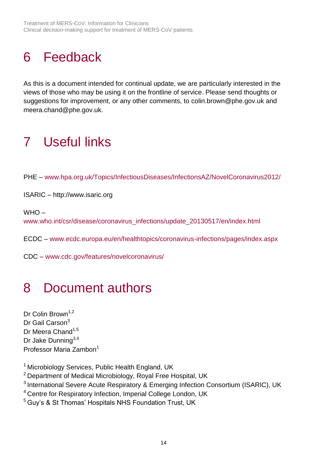# <span id="page-13-0"></span>6 Feedback

As this is a document intended for continual update, we are particularly interested in the views of those who may be using it on the frontline of service. Please send thoughts or suggestions for improvement, or any other comments, to [colin.brown@phe.gov.uk](mailto:colin.brown@phe.gov.uk) and meera.chand@phe.gov.uk.

## <span id="page-13-1"></span>7 Useful links

PHE – [www.hpa.org.uk/Topics/InfectiousDiseases/InfectionsAZ/NovelCoronavirus2012/](http://www.hpa.org.uk/Topics/InfectiousDiseases/InfectionsAZ/NovelCoronavirus2012/)

ISARIC – [http://www.isaric.org](http://www.isaric.org/)

 $WHO$ [www.who.int/csr/disease/coronavirus\\_infections/update\\_20130517/en/index.html](http://www.who.int/csr/disease/coronavirus_infections/update_20130517/en/index.html)

ECDC – [www.ecdc.europa.eu/en/healthtopics/coronavirus-infections/pages/index.aspx](http://www.ecdc.europa.eu/en/healthtopics/coronavirus-infections/pages/index.aspx)

CDC – [www.cdc.gov/features/novelcoronavirus/](http://www.cdc.gov/features/novelcoronavirus/)

## <span id="page-13-2"></span>8 Document authors

Dr Colin Brown<sup>1,2</sup> Dr Gail Carson<sup>3</sup> Dr Meera Chand<sup>1,5</sup> Dr Jake Dunning<sup>3,4</sup> Professor Maria Zambon<sup>1</sup>

<sup>1</sup> Microbiology Services, Public Health England, UK

<sup>2</sup> Department of Medical Microbiology, Royal Free Hospital, UK

<sup>3</sup> International Severe Acute Respiratory & Emerging Infection Consortium (ISARIC), UK

- <sup>4</sup> Centre for Respiratory Infection, Imperial College London, UK
- <sup>5</sup> Guy's & St Thomas' Hospitals NHS Foundation Trust, UK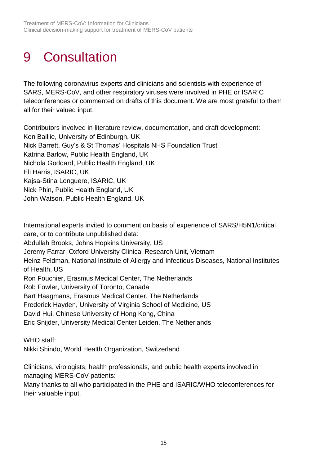# <span id="page-14-0"></span>9 Consultation

The following coronavirus experts and clinicians and scientists with experience of SARS, MERS-CoV, and other respiratory viruses were involved in PHE or ISARIC teleconferences or commented on drafts of this document. We are most grateful to them all for their valued input.

Contributors involved in literature review, documentation, and draft development: Ken Baillie, University of Edinburgh, UK Nick Barrett, Guy's & St Thomas' Hospitals NHS Foundation Trust Katrina Barlow, Public Health England, UK Nichola Goddard, Public Health England, UK Eli Harris, ISARIC, UK Kajsa-Stina Longuere, ISARIC, UK Nick Phin, Public Health England, UK John Watson, Public Health England, UK

International experts invited to comment on basis of experience of SARS/H5N1/critical care, or to contribute unpublished data: Abdullah Brooks, Johns Hopkins University, US Jeremy Farrar, Oxford University Clinical Research Unit, Vietnam Heinz Feldman, National Institute of Allergy and Infectious Diseases, National Institutes of Health, US Ron Fouchier, Erasmus Medical Center, The Netherlands Rob Fowler, University of Toronto, Canada Bart Haagmans, Erasmus Medical Center, The Netherlands Frederick Hayden, University of Virginia School of Medicine, US David Hui, Chinese University of Hong Kong, China

Eric Snijder, University Medical Center Leiden, The Netherlands

WHO staff:

Nikki Shindo, World Health Organization, Switzerland

Clinicians, virologists, health professionals, and public health experts involved in managing MERS-CoV patients:

Many thanks to all who participated in the PHE and ISARIC/WHO teleconferences for their valuable input.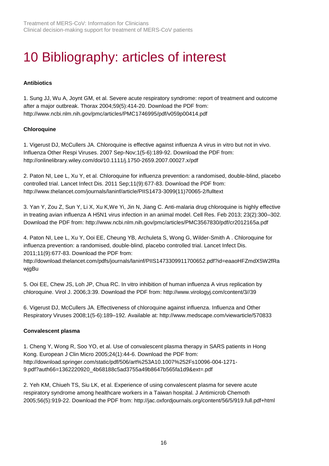# <span id="page-15-0"></span>10 Bibliography: articles of interest

#### **Antibiotics**

1. Sung JJ, Wu A, Joynt GM, et al. Severe acute respiratory syndrome: report of treatment and outcome after a major outbreak. Thorax 2004;59(5):414-20. Download the PDF from: <http://www.ncbi.nlm.nih.gov/pmc/articles/PMC1746995/pdf/v059p00414.pdf>

#### **Chloroquine**

1. Vigerust DJ, McCullers JA. Chloroquine is effective against influenza A virus in vitro but not in vivo. Influenza Other Respi Viruses. 2007 Sep-Nov;1(5-6):189-92. Download the PDF from: <http://onlinelibrary.wiley.com/doi/10.1111/j.1750-2659.2007.00027.x/pdf>

2. Paton NI, Lee L, Xu Y, et al. Chloroquine for influenza prevention: a randomised, double-blind, placebo controlled trial. Lancet Infect Dis. 2011 Sep;11(9):677-83. Download the PDF from: [http://www.thelancet.com/journals/laninf/article/PIIS1473-3099\(11\)70065-2/fulltext](http://www.thelancet.com/journals/laninf/article/PIIS1473-3099(11)70065-2/fulltext)

3. Yan Y, Zou Z, Sun Y, Li X, Xu K,We Yi, Jin N, Jiang C. Anti-malaria drug chloroquine is highly effective in treating avian influenza A H5N1 virus infection in an animal model. Cell Res. Feb 2013; 23(2):300–302. Download the PDF from: <http://www.ncbi.nlm.nih.gov/pmc/articles/PMC3567830/pdf/cr2012165a.pdf>

4. Paton NI, Lee L, Xu Y, Ooi EE, Cheung YB, Archuleta S, Wong G, Wilder-Smith A . Chloroquine for influenza prevention: a randomised, double-blind, placebo controlled trial. Lancet Infect Dis. 2011;11(9):677-83. Download the PDF from:

[http://download.thelancet.com/pdfs/journals/laninf/PIIS1473309911700652.pdf?id=eaaoHFZmdX5W2fRa](http://download.thelancet.com/pdfs/journals/laninf/PIIS1473309911700652.pdf?id=eaaoHFZmdX5W2fRawjgBu) [wjgBu](http://download.thelancet.com/pdfs/journals/laninf/PIIS1473309911700652.pdf?id=eaaoHFZmdX5W2fRawjgBu)

5. Ooi EE, Chew JS, Loh JP, Chua RC. In vitro inhibition of human influenza A virus replication by chloroquine. Virol J. 2006;3:39. Download the PDF from: [http://www.virologyj.com/content/3//39](http://www.virologyj.com/content/3/39)

6. Vigerust DJ, McCullers JA. Effectiveness of chloroquine against influenza. Influenza and Other Respiratory Viruses 2008;1(5-6):189–192. Available at: <http://www.medscape.com/viewarticle/570833>

#### **Convalescent plasma**

1. Cheng Y, Wong R, Soo YO, et al. Use of convalescent plasma therapy in SARS patients in Hong Kong. European J Clin Micro 2005;24(1):44-6. Download the PDF from: [http://download.springer.com/static/pdf/506/art%253A10.1007%252Fs10096-004-1271-](http://download.springer.com/static/pdf/506/art%253A10.1007%252Fs10096-004-1271-9.pdf?auth66=1362220920_4b68188c5ad3755a49b8647b565fa1d9&ext=.pdf) [9.pdf?auth66=1362220920\\_4b68188c5ad3755a49b8647b565fa1d9&ext=.pdf](http://download.springer.com/static/pdf/506/art%253A10.1007%252Fs10096-004-1271-9.pdf?auth66=1362220920_4b68188c5ad3755a49b8647b565fa1d9&ext=.pdf)

2. Yeh KM, Chiueh TS, Siu LK, et al. Experience of using convalescent plasma for severe acute respiratory syndrome among healthcare workers in a Taiwan hospital. J Antimicrob Chemoth 2005;56(5):919-22. Download the PDF from:<http://jac.oxfordjournals.org/content/56/5/919.full.pdf+html>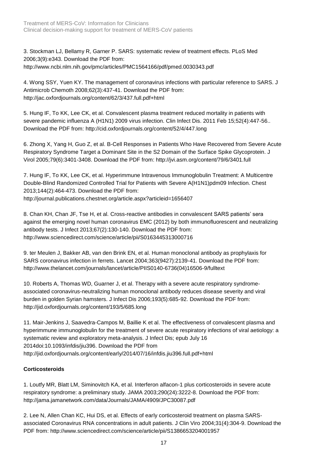3. Stockman LJ, Bellamy R, Garner P. SARS: systematic review of treatment effects. PLoS Med 2006;3(9):e343. Download the PDF from: <http://www.ncbi.nlm.nih.gov/pmc/articles/PMC1564166/pdf/pmed.0030343.pdf>

4. Wong SSY, Yuen KY. The management of coronavirus infections with particular reference to SARS. J Antimicrob Chemoth 2008;62(3):437-41. Download the PDF from: <http://jac.oxfordjournals.org/content/62/3/437.full.pdf+html>

5. Hung IF, To KK, Lee CK, et al. Convalescent plasma treatment reduced mortality in patients with severe pandemic influenza A (H1N1) 2009 virus infection. Clin Infect Dis. 2011 Feb 15;52(4):447-56.. Download the PDF from:<http://cid.oxfordjournals.org/content/52/4/447.long>

6. Zhong X, Yang H, Guo Z, et al. B-Cell Responses in Patients Who Have Recovered from Severe Acute Respiratory Syndrome Target a Dominant Site in the S2 Domain of the Surface Spike Glycoprotein. J Virol 2005;79(6):3401-3408. Download the PDF from:<http://jvi.asm.org/content/79/6/3401.full>

7. Hung IF, To KK, Lee CK, et al. Hyperimmune Intravenous Immunoglobulin Treatment: A Multicentre Double-Blind Randomized Controlled Trial for Patients with Severe A(H1N1)pdm09 Infection. Chest 2013;144(2):464-473. Download the PDF from: <http://journal.publications.chestnet.org/article.aspx?articleid=1656407>

8. Chan KH, Chan JF, Tse H, et al. Cross-reactive antibodies in convalescent SARS patients' sera against the emerging novel human coronavirus EMC (2012) by both immunofluorescent and neutralizing antibody tests. J Infect 2013;67(2):130-140. Download the PDF from: <http://www.sciencedirect.com/science/article/pii/S0163445313000716>

9. ter Meulen J, Bakker AB, van den Brink EN, et al. Human monoclonal antibody as prophylaxis for SARS coronavirus infection in ferrets. Lancet 2004;363(9427):2139-41. Download the PDF from: [http://www.thelancet.com/journals/lancet/article/PIIS0140-6736\(04\)16506-9/fulltext](http://www.thelancet.com/journals/lancet/article/PIIS0140-6736(04)16506-9/fulltext)

10. Roberts A, Thomas WD, Guarner J, et al. Therapy with a severe acute respiratory syndromeassociated coronavirus-neutralizing human monoclonal antibody reduces disease severity and viral burden in golden Syrian hamsters. J Infect Dis 2006;193(5):685-92. Download the PDF from: <http://jid.oxfordjournals.org/content/193/5/685.long>

11. Mair-Jenkins J, Saavedra-Campos M, Baillie K et al. The effectiveness of convalescent plasma and hyperimmune immunoglobulin for the treatment of severe acute respiratory infections of viral aetiology: a systematic review and exploratory meta-analysis. J Infect Dis; epub July 16 2014doi:10.1093/infdis/jiu396. Download the PDF from <http://jid.oxfordjournals.org/content/early/2014/07/16/infdis.jiu396.full.pdf+html>

#### **Corticosteroids**

1. Loutfy MR, Blatt LM, Siminovitch KA, et al. Interferon alfacon-1 plus corticosteroids in severe acute respiratory syndrome: a preliminary study. JAMA 2003;290(24):3222-8. Download the PDF from: <http://jama.jamanetwork.com/data/Journals/JAMA/4909/JPC30087.pdf>

2. Lee N, Allen Chan KC, Hui DS, et al. Effects of early corticosteroid treatment on plasma SARSassociated Coronavirus RNA concentrations in adult patients. J Clin Viro 2004;31(4):304-9. Download the PDF from: <http://www.sciencedirect.com/science/article/pii/S1386653204001957>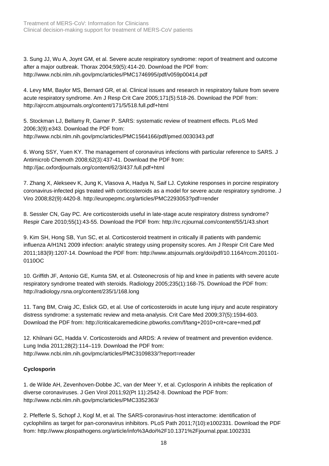3. Sung JJ, Wu A, Joynt GM, et al. Severe acute respiratory syndrome: report of treatment and outcome after a major outbreak. Thorax 2004;59(5):414-20. Download the PDF from: <http://www.ncbi.nlm.nih.gov/pmc/articles/PMC1746995/pdf/v059p00414.pdf>

4. Levy MM, Baylor MS, Bernard GR, et al. Clinical issues and research in respiratory failure from severe acute respiratory syndrome. Am J Resp Crit Care 2005;171(5):518-26. Download the PDF from: <http://ajrccm.atsjournals.org/content/171/5/518.full.pdf+html>

5. Stockman LJ, Bellamy R, Garner P. SARS: systematic review of treatment effects. PLoS Med 2006;3(9):e343. Download the PDF from: <http://www.ncbi.nlm.nih.gov/pmc/articles/PMC1564166/pdf/pmed.0030343.pdf>

6. Wong SSY, Yuen KY. The management of coronavirus infections with particular reference to SARS. J Antimicrob Chemoth 2008;62(3):437-41. Download the PDF from: <http://jac.oxfordjournals.org/content/62/3/437.full.pdf+html>

7. Zhang X, Alekseev K, Jung K, Vlasova A, Hadya N, Saif LJ. Cytokine responses in porcine respiratory coronavirus-infected pigs treated with corticosteroids as a model for severe acute respiratory syndrome. J Viro 2008;82(9):4420-8.<http://europepmc.org/articles/PMC2293053?pdf=render>

8. Sessler CN, Gay PC. Are corticosteroids useful in late-stage acute respiratory distress syndrome? Respir Care 2010;55(1):43-55. Download the PDF from:<http://rc.rcjournal.com/content/55/1/43.short>

9. Kim SH, Hong SB, Yun SC, et al. Corticosteroid treatment in critically ill patients with pandemic influenza A/H1N1 2009 infection: analytic strategy using propensity scores. Am J Respir Crit Care Med 2011;183(9):1207-14. Download the PDF from: [http://www.atsjournals.org/doi/pdf/10.1164/rccm.201101-](http://www.atsjournals.org/doi/pdf/10.1164/rccm.201101-0110OC) [0110OC](http://www.atsjournals.org/doi/pdf/10.1164/rccm.201101-0110OC)

10. Griffith JF, Antonio GE, Kumta SM, et al. Osteonecrosis of hip and knee in patients with severe acute respiratory syndrome treated with steroids. Radiology 2005;235(1):168-75. Download the PDF from: <http://radiology.rsna.org/content/235/1/168.long>

11. Tang BM, Craig JC, Eslick GD, et al. Use of corticosteroids in acute lung injury and acute respiratory distress syndrome: a systematic review and meta-analysis. Crit Care Med 2009;37(5):1594-603. Download the PDF from:<http://criticalcaremedicine.pbworks.com/f/tang+2010+crit+care+med.pdf>

12. Khilnani GC, Hadda V. Corticosteroids and ARDS: A review of treatment and prevention evidence. Lung India 2011;28(2):114–119. Download the PDF from: <http://www.ncbi.nlm.nih.gov/pmc/articles/PMC3109833/?report=reader>

#### **Cyclosporin**

1. de Wilde AH, Zevenhoven-Dobbe JC, van der Meer Y, et al. Cyclosporin A inhibits the replication of diverse coronaviruses. J Gen Virol 2011;92(Pt 11):2542-8. Download the PDF from: <http://www.ncbi.nlm.nih.gov/pmc/articles/PMC3352363/>

2. Pfefferle S, Schopf J, Kogl M, et al. The SARS-coronavirus-host interactome: identification of cyclophilins as target for pan-coronavirus inhibitors. PLoS Path 2011;7(10):e1002331. Download the PDF from:<http://www.plospathogens.org/article/info%3Adoi%2F10.1371%2Fjournal.ppat.1002331>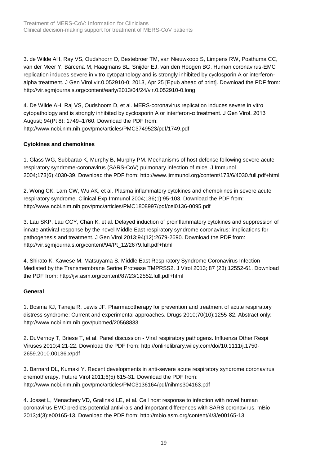3. de Wilde AH, Ray VS, Oudshoorn D, Bestebroer TM, van Nieuwkoop S, Limpens RW, Posthuma CC, van der Meer Y, Bárcena M, Haagmans BL, Snijder EJ, van den Hoogen BG. Human coronavirus-EMC replication induces severe in vitro cytopathology and is strongly inhibited by cyclosporin A or interferonalpha treatment. J Gen Virol vir.0.052910-0; 2013, Apr 25 [Epub ahead of print]. Download the PDF from: <http://vir.sgmjournals.org/content/early/2013/04/24/vir.0.052910-0.long>

4. De Wilde AH, Raj VS, Oudshoom D, et al. MERS-coronavirus replication induces severe in vitro cytopathology and is strongly inhibited by cyclosporin A or interferon-α treatment. J Gen Virol. 2013 August; 94(Pt 8): 1749–1760. Download the PDF from: <http://www.ncbi.nlm.nih.gov/pmc/articles/PMC3749523/pdf/1749.pdf>

#### **Cytokines and chemokines**

1. Glass WG, Subbarao K, Murphy B, Murphy PM. Mechanisms of host defense following severe acute respiratory syndrome-coronavirus (SARS-CoV) pulmonary infection of mice. J Immunol 2004;173(6):4030-39. Download the PDF from:<http://www.jimmunol.org/content/173/6/4030.full.pdf+html>

2. Wong CK, Lam CW, Wu AK, et al. Plasma inflammatory cytokines and chemokines in severe acute respiratory syndrome. Clinical Exp Immunol 2004;136(1):95-103. Download the PDF from: <http://www.ncbi.nlm.nih.gov/pmc/articles/PMC1808997/pdf/cei0136-0095.pdf>

3. Lau SKP, Lau CCY, Chan K, et al. Delayed induction of proinflammatory cytokines and suppression of innate antiviral response by the novel Middle East respiratory syndrome coronavirus: implications for pathogenesis and treatment. J Gen Virol 2013;94(12):2679-2690. Download the PDF from: [http://vir.sgmjournals.org/content/94/Pt\\_12/2679.full.pdf+html](http://vir.sgmjournals.org/content/94/Pt_12/2679.full.pdf+html)

4. Shirato K, Kawese M, Matsuyama S. Middle East Respiratory Syndrome Coronavirus Infection Mediated by the Transmembrane Serine Protease TMPRSS2. J Virol 2013; 87 (23):12552-61. Download the PDF from:<http://jvi.asm.org/content/87/23/12552.full.pdf+html>

#### **General**

1. Bosma KJ, Taneja R, Lewis JF. Pharmacotherapy for prevention and treatment of acute respiratory distress syndrome: Current and experimental approaches. Drugs 2010;70(10):1255-82. Abstract only: <http://www.ncbi.nlm.nih.gov/pubmed/20568833>

2. DuVernoy T, Briese T, et al. Panel discussion - Viral respiratory pathogens. Influenza Other Respi Viruses 2010;4:21-22. Download the PDF from: [http://onlinelibrary.wiley.com/doi/10.1111/j.1750-](http://onlinelibrary.wiley.com/doi/10.1111/j.1750-2659.2010.00136.x/pdf) [2659.2010.00136.x/pdf](http://onlinelibrary.wiley.com/doi/10.1111/j.1750-2659.2010.00136.x/pdf)

3. Barnard DL, Kumaki Y. Recent developments in anti-severe acute respiratory syndrome coronavirus chemotherapy. Future Virol 2011;6(5):615-31. Download the PDF from: <http://www.ncbi.nlm.nih.gov/pmc/articles/PMC3136164/pdf/nihms304163.pdf>

4. Josset L, Menachery VD, Gralinski LE, et al. Cell host response to infection with novel human coronavirus EMC predicts potential antivirals and important differences with SARS coronavirus. mBio 2013;4(3):e00165-13. Download the PDF from:<http://mbio.asm.org/content/4/3/e00165-13>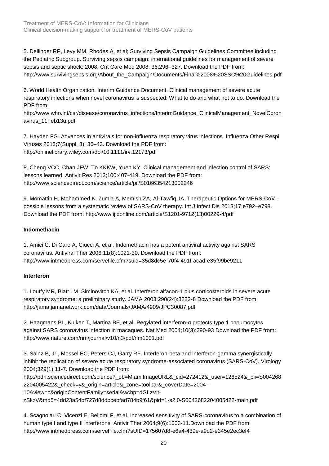Treatment of MERS-CoV: Information for Clinicians Clinical decision-making support for treatment of MERS-CoV patients

5. Dellinger RP, Levy MM, Rhodes A, et al; Surviving Sepsis Campaign Guidelines Committee including the Pediatric Subgroup. Surviving sepsis campaign: international guidelines for management of severe sepsis and septic shock: 2008. Crit Care Med 2008; 36:296–327. Download the PDF from: [http://www.survivingsepsis.org/About\\_the\\_Campaign/Documents/Final%2008%20SSC%20Guidelines.pdf](http://www.survivingsepsis.org/About_the_Campaign/Documents/Final%2008%20SSC%20Guidelines.pdf)

6. World Health Organization. Interim Guidance Document. Clinical management of severe acute respiratory infections when novel coronavirus is suspected: What to do and what not to do. Download the PDF from:

[http://www.who.int/csr/disease/coronavirus\\_infections/InterimGuidance\\_ClinicalManagement\\_NovelCoron](http://www.who.int/csr/disease/coronavirus_infections/InterimGuidance_ClinicalManagement_NovelCoronavirus_11Feb13u.pdf) [avirus\\_11Feb13u.pdf](http://www.who.int/csr/disease/coronavirus_infections/InterimGuidance_ClinicalManagement_NovelCoronavirus_11Feb13u.pdf)

7. Hayden FG. Advances in antivirals for non-influenza respiratory virus infections. Influenza Other Respi Viruses 2013;7(Suppl. 3): 36–43. Download the PDF from: <http://onlinelibrary.wiley.com/doi/10.1111/irv.12173/pdf>

8. Cheng VCC, Chan JFW, To KKKW, Yuen KY. Clinical management and infection control of SARS: lessons learned. Antivir Res 2013;100:407-419. Download the PDF from: <http://www.sciencedirect.com/science/article/pii/S0166354213002246>

9. Momattin H, Mohammed K, Zumla A, Memish ZA, Al-Tawfiq JA. Therapeutic Options for MERS-CoV – possible lessons from a systematic review of SARS-CoV therapy. Int J Infect Dis 2013;17:e792–e798. Download the PDF from: [http://www.ijidonline.com/article/S1201-9712\(13\)00229-4/pdf](http://www.ijidonline.com/article/S1201-9712(13)00229-4/pdf)

#### **Indomethacin**

1. Amici C, Di Caro A, Ciucci A, et al. Indomethacin has a potent antiviral activity against SARS coronavirus. Antiviral Ther 2006;11(8):1021-30. Download the PDF from: <http://www.intmedpress.com/servefile.cfm?suid=35d8dc5e-70f4-491f-acad-e35f99be9211>

#### **Interferon**

1. Loutfy MR, Blatt LM, Siminovitch KA, et al. Interferon alfacon-1 plus corticosteroids in severe acute respiratory syndrome: a preliminary study. JAMA 2003;290(24):3222-8 Download the PDF from: <http://jama.jamanetwork.com/data/Journals/JAMA/4909/JPC30087.pdf>

2. Haagmans BL, Kuiken T, Martina BE, et al. Pegylated interferon-α protects type 1 pneumocytes against SARS coronavirus infection in macaques. Nat Med 2004;10(3):290-93 Download the PDF from: <http://www.nature.com/nm/journal/v10/n3/pdf/nm1001.pdf>

3. Sainz B, Jr., Mossel EC, Peters CJ, Garry RF. Interferon-beta and interferon-gamma synergistically inhibit the replication of severe acute respiratory syndrome-associated coronavirus (SARS-CoV). Virology 2004;329(1):11-7. Download the PDF from:

[http://pdn.sciencedirect.com/science?\\_ob=MiamiImageURL&\\_cid=272412&\\_user=126524&\\_pii=S004268](http://pdn.sciencedirect.com/science?_ob=MiamiImageURL&_cid=272412&_user=126524&_pii=S0042682204005422&_check=y&_origin=article&_zone=toolbar&_coverDate=2004--10&view=c&originContentFamily=serial&wchp=dGLzVlt-zSkzV&md5=4dd23a54bf727d8ddbcebfad784b9f61&pid=1-s2.0-S0042682204005422-main.pdf) [2204005422&\\_check=y&\\_origin=article&\\_zone=toolbar&\\_coverDate=2004--](http://pdn.sciencedirect.com/science?_ob=MiamiImageURL&_cid=272412&_user=126524&_pii=S0042682204005422&_check=y&_origin=article&_zone=toolbar&_coverDate=2004--10&view=c&originContentFamily=serial&wchp=dGLzVlt-zSkzV&md5=4dd23a54bf727d8ddbcebfad784b9f61&pid=1-s2.0-S0042682204005422-main.pdf)

[10&view=c&originContentFamily=serial&wchp=dGLzVlt-](http://pdn.sciencedirect.com/science?_ob=MiamiImageURL&_cid=272412&_user=126524&_pii=S0042682204005422&_check=y&_origin=article&_zone=toolbar&_coverDate=2004--10&view=c&originContentFamily=serial&wchp=dGLzVlt-zSkzV&md5=4dd23a54bf727d8ddbcebfad784b9f61&pid=1-s2.0-S0042682204005422-main.pdf)

[zSkzV&md5=4dd23a54bf727d8ddbcebfad784b9f61&pid=1-s2.0-S0042682204005422-main.pdf](http://pdn.sciencedirect.com/science?_ob=MiamiImageURL&_cid=272412&_user=126524&_pii=S0042682204005422&_check=y&_origin=article&_zone=toolbar&_coverDate=2004--10&view=c&originContentFamily=serial&wchp=dGLzVlt-zSkzV&md5=4dd23a54bf727d8ddbcebfad784b9f61&pid=1-s2.0-S0042682204005422-main.pdf)

4. Scagnolari C, Vicenzi E, Bellomi F, et al. Increased sensitivity of SARS-coronavirus to a combination of human type I and type II interferons. Antivir Ther 2004;9(6):1003-11.Download the PDF from: <http://www.intmedpress.com/serveFile.cfm?sUID=175607d8-e6a4-439e-a9d2-e345e2ec3ef4>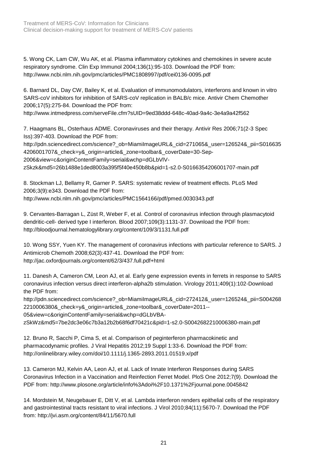5. Wong CK, Lam CW, Wu AK, et al. Plasma inflammatory cytokines and chemokines in severe acute respiratory syndrome. Clin Exp Immunol 2004;136(1):95-103. Download the PDF from: <http://www.ncbi.nlm.nih.gov/pmc/articles/PMC1808997/pdf/cei0136-0095.pdf>

6. Barnard DL, Day CW, Bailey K, et al. Evaluation of immunomodulators, interferons and known in vitro SARS-coV inhibitors for inhibition of SARS-coV replication in BALB/c mice. Antivir Chem Chemother 2006;17(5):275-84. Download the PDF from:

http://www.intmedpress.com/serveFile.cfm?sUID=9ed38ddd-648c-40ad-9a4c-3e4a9a42f562

7. Haagmans BL, Osterhaus ADME. Coronaviruses and their therapy. Antivir Res 2006;71(2-3 Spec Iss):397-403. Download the PDF from:

http://pdn.sciencedirect.com/science?\_ob=MiamilmageURL&\_cid=271065&\_user=126524&\_pii=S016635 [4206001707&\\_check=y&\\_origin=article&\\_zone=toolbar&\\_coverDate=30-Sep-](http://pdn.sciencedirect.com/science?_ob=MiamiImageURL&_cid=271065&_user=126524&_pii=S0166354206001707&_check=y&_origin=article&_zone=toolbar&_coverDate=30-Sep-2006&view=c&originContentFamily=serial&wchp=dGLbVlV-zSkzk&md5=26b1488e1ded8003a395f5f40e450b8b&pid=1-s2.0-S0166354206001707-main.pdf)

[2006&view=c&originContentFamily=serial&wchp=dGLbVlV-](http://pdn.sciencedirect.com/science?_ob=MiamiImageURL&_cid=271065&_user=126524&_pii=S0166354206001707&_check=y&_origin=article&_zone=toolbar&_coverDate=30-Sep-2006&view=c&originContentFamily=serial&wchp=dGLbVlV-zSkzk&md5=26b1488e1ded8003a395f5f40e450b8b&pid=1-s2.0-S0166354206001707-main.pdf)

[zSkzk&md5=26b1488e1ded8003a395f5f40e450b8b&pid=1-s2.0-S0166354206001707-main.pdf](http://pdn.sciencedirect.com/science?_ob=MiamiImageURL&_cid=271065&_user=126524&_pii=S0166354206001707&_check=y&_origin=article&_zone=toolbar&_coverDate=30-Sep-2006&view=c&originContentFamily=serial&wchp=dGLbVlV-zSkzk&md5=26b1488e1ded8003a395f5f40e450b8b&pid=1-s2.0-S0166354206001707-main.pdf)

8. Stockman LJ, Bellamy R, Garner P. SARS: systematic review of treatment effects. PLoS Med 2006;3(9):e343. Download the PDF from: <http://www.ncbi.nlm.nih.gov/pmc/articles/PMC1564166/pdf/pmed.0030343.pdf>

9. Cervantes-Barragan L, Züst R, Weber F, et al. Control of coronavirus infection through plasmacytoid dendritic-cell- derived type I interferon. Blood 2007;109(3):1131-37. Download the PDF from: <http://bloodjournal.hematologylibrary.org/content/109/3/1131.full.pdf>

10. Wong SSY, Yuen KY. The management of coronavirus infections with particular reference to SARS. J Antimicrob Chemoth 2008;62(3):437-41. Download the PDF from: <http://jac.oxfordjournals.org/content/62/3/437.full.pdf+html>

11. Danesh A, Cameron CM, Leon AJ, et al. Early gene expression events in ferrets in response to SARS coronavirus infection versus direct interferon-alpha2b stimulation. Virology 2011;409(1):102-Download the PDF from:

[http://pdn.sciencedirect.com/science?\\_ob=MiamiImageURL&\\_cid=272412&\\_user=126524&\\_pii=S004268](http://pdn.sciencedirect.com/science?_ob=MiamiImageURL&_cid=272412&_user=126524&_pii=S0042682210006380&_check=y&_origin=article&_zone=toolbar&_coverDate=2011--05&view=c&originContentFamily=serial&wchp=dGLbVBA-zSkWz&md5=7be2dc3e06c7b3a12b2b68f6df70421c&pid=1-s2.0-S0042682210006380-main.pdf) [2210006380&\\_check=y&\\_origin=article&\\_zone=toolbar&\\_coverDate=2011--](http://pdn.sciencedirect.com/science?_ob=MiamiImageURL&_cid=272412&_user=126524&_pii=S0042682210006380&_check=y&_origin=article&_zone=toolbar&_coverDate=2011--05&view=c&originContentFamily=serial&wchp=dGLbVBA-zSkWz&md5=7be2dc3e06c7b3a12b2b68f6df70421c&pid=1-s2.0-S0042682210006380-main.pdf) [05&view=c&originContentFamily=serial&wchp=dGLbVBA-](http://pdn.sciencedirect.com/science?_ob=MiamiImageURL&_cid=272412&_user=126524&_pii=S0042682210006380&_check=y&_origin=article&_zone=toolbar&_coverDate=2011--05&view=c&originContentFamily=serial&wchp=dGLbVBA-zSkWz&md5=7be2dc3e06c7b3a12b2b68f6df70421c&pid=1-s2.0-S0042682210006380-main.pdf)

[zSkWz&md5=7be2dc3e06c7b3a12b2b68f6df70421c&pid=1-s2.0-S0042682210006380-main.pdf](http://pdn.sciencedirect.com/science?_ob=MiamiImageURL&_cid=272412&_user=126524&_pii=S0042682210006380&_check=y&_origin=article&_zone=toolbar&_coverDate=2011--05&view=c&originContentFamily=serial&wchp=dGLbVBA-zSkWz&md5=7be2dc3e06c7b3a12b2b68f6df70421c&pid=1-s2.0-S0042682210006380-main.pdf)

12. Bruno R, Sacchi P, Cima S, et al. Comparison of peginterferon pharmacokinetic and pharmacodynamic profiles. J Viral Hepatitis 2012;19 Suppl 1:33-6. Download the PDF from: <http://onlinelibrary.wiley.com/doi/10.1111/j.1365-2893.2011.01519.x/pdf>

13. Cameron MJ, Kelvin AA, Leon AJ, et al. Lack of Innate Interferon Responses during SARS Coronavirus Infection in a Vaccination and Reinfection Ferret Model. PloS One 2012;7(9). Download the PDF from:<http://www.plosone.org/article/info%3Adoi%2F10.1371%2Fjournal.pone.0045842>

14. Mordstein M, Neugebauer E, Ditt V, et al. Lambda interferon renders epithelial cells of the respiratory and gastrointestinal tracts resistant to viral infections. J Virol 2010;84(11):5670-7. Download the PDF from:<http://jvi.asm.org/content/84/11/5670.full>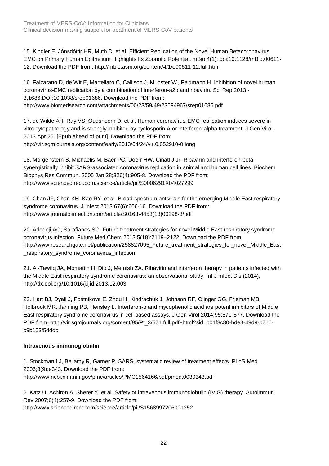Treatment of MERS-CoV: Information for Clinicians Clinical decision-making support for treatment of MERS-CoV patients

15. Kindler E, Jónsdóttir HR, Muth D, et al. Efficient Replication of the Novel Human Betacoronavirus EMC on Primary Human Epithelium Highlights Its Zoonotic Potential. mBio 4(1): doi:10.1128/mBio.00611- 12. Download the PDF from:<http://mbio.asm.org/content/4/1/e00611-12.full.html>

16. Falzarano D, de Wit E, Martellaro C, Callison J, Munster VJ, Feldmann H. Inhibition of novel human coronavirus-EMC replication by a combination of interferon-a2b and ribavirin. Sci Rep 2013 - 3,1686;DOI:10.1038/srep01686. Download the PDF from: <http://www.biomedsearch.com/attachments/00/23/59/49/23594967/srep01686.pdf>

17. de Wilde AH, Ray VS, Oudshoorn D, et al. Human coronavirus-EMC replication induces severe in vitro cytopathology and is strongly inhibited by cyclosporin A or interferon-alpha treatment. J Gen Virol. 2013 Apr 25. [Epub ahead of print]. Download the PDF from: <http://vir.sgmjournals.org/content/early/2013/04/24/vir.0.052910-0.long>

18. Morgenstern B, Michaelis M, Baer PC, Doerr HW, Cinatl J Jr. Ribavirin and interferon-beta synergistically inhibit SARS-associated coronavirus replication in animal and human cell lines. Biochem Biophys Res Commun. 2005 Jan 28;326(4):905-8. Download the PDF from: <http://www.sciencedirect.com/science/article/pii/S0006291X04027299>

19. Chan JF, Chan KH, Kao RY, et al. Broad-spectrum antivirals for the emerging Middle East respiratory syndrome coronavirus. J Infect 2013;67(6):606-16. Download the PDF from: [http://www.journalofinfection.com/article/S0163-4453\(13\)00298-3/pdf](http://www.journalofinfection.com/article/S0163-4453(13)00298-3/pdf)

20. Adedeji AO, Sarafianos SG. Future treatment strategies for novel Middle East respiratory syndrome coronavirus infection. Future Med Chem 2013;5(18):2119–2122. Download the PDF from: [http://www.researchgate.net/publication/258827095\\_Future\\_treatment\\_strategies\\_for\\_novel\\_Middle\\_East](http://www.researchgate.net/publication/258827095_Future_treatment_strategies_for_novel_Middle_East_respiratory_syndrome_coronavirus_infection) respiratory\_syndrome\_coronavirus\_infection

21. Al-Tawfiq JA, Momattin H, Dib J, Memish ZA. Ribavirin and interferon therapy in patients infected with the Middle East respiratory syndrome coronavirus: an observational study. Int J Infect Dis (2014), <http://dx.doi.org/10.1016/j.ijid.2013.12.003>

22. Hart BJ, Dyall J, Postnikova E, Zhou H, Kindrachuk J, Johnson RF, Olinger GG, Frieman MB, Holbrook MR, Jahrling PB, Hensley L. Interferon-b and mycophenolic acid are potent inhibitors of Middle East respiratory syndrome coronavirus in cell based assays. J Gen Virol 2014;95:571-577. Download the PDF from: [http://vir.sgmjournals.org/content/95/Pt\\_3/571.full.pdf+html?sid=b01f8c80-bde3-49d9-b716](http://vir.sgmjournals.org/content/95/Pt_3/571.full.pdf+html?sid=b01f8c80-bde3-49d9-b716-c9b153f5dddc) [c9b153f5dddc](http://vir.sgmjournals.org/content/95/Pt_3/571.full.pdf+html?sid=b01f8c80-bde3-49d9-b716-c9b153f5dddc)

#### **Intravenous immunoglobulin**

1. Stockman LJ, Bellamy R, Garner P. SARS: systematic review of treatment effects. PLoS Med 2006;3(9):e343. Download the PDF from: <http://www.ncbi.nlm.nih.gov/pmc/articles/PMC1564166/pdf/pmed.0030343.pdf>

2. Katz U, Achiron A, Sherer Y, et al. Safety of intravenous immunoglobulin (IVIG) therapy. Autoimmun Rev 2007;6(4):257-9. Download the PDF from: <http://www.sciencedirect.com/science/article/pii/S1568997206001352>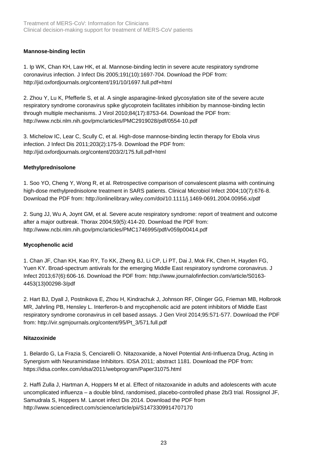#### **Mannose-binding lectin**

1. Ip WK, Chan KH, Law HK, et al. Mannose-binding lectin in severe acute respiratory syndrome coronavirus infection. J Infect Dis 2005;191(10):1697-704. Download the PDF from: <http://jid.oxfordjournals.org/content/191/10/1697.full.pdf+html>

2. Zhou Y, Lu K, Pfefferle S, et al. A single asparagine-linked glycosylation site of the severe acute respiratory syndrome coronavirus spike glycoprotein facilitates inhibition by mannose-binding lectin through multiple mechanisms. J Virol 2010;84(17):8753-64. Download the PDF from: <http://www.ncbi.nlm.nih.gov/pmc/articles/PMC2919028/pdf/0554-10.pdf>

3. Michelow IC, Lear C, Scully C, et al. High-dose mannose-binding lectin therapy for Ebola virus infection. J Infect Dis 2011;203(2):175-9. Download the PDF from: <http://jid.oxfordjournals.org/content/203/2/175.full.pdf+html>

#### **Methylprednisolone**

1. Soo YO, Cheng Y, Wong R, et al. Retrospective comparison of convalescent plasma with continuing high-dose methylprednisolone treatment in SARS patients. Clinical Microbiol Infect 2004;10(7):676-8. Download the PDF from: <http://onlinelibrary.wiley.com/doi/10.1111/j.1469-0691.2004.00956.x/pdf>

2. Sung JJ, Wu A, Joynt GM, et al. Severe acute respiratory syndrome: report of treatment and outcome after a major outbreak. Thorax 2004;59(5):414-20. Download the PDF from: <http://www.ncbi.nlm.nih.gov/pmc/articles/PMC1746995/pdf/v059p00414.pdf>

#### **Mycophenolic acid**

1. Chan JF, Chan KH, Kao RY, To KK, Zheng BJ, Li CP, Li PT, Dai J, Mok FK, Chen H, Hayden FG, Yuen KY. Broad-spectrum antivirals for the emerging Middle East respiratory syndrome coronavirus. J Infect 2013;67(6):606-16. Download the PDF from: [http://www.journalofinfection.com/article/S0163-](http://www.journalofinfection.com/article/S0163-4453(13)00298-3/pdf) [4453\(13\)00298-3/pdf](http://www.journalofinfection.com/article/S0163-4453(13)00298-3/pdf)

2. Hart BJ, Dyall J, Postnikova E, Zhou H, Kindrachuk J, Johnson RF, Olinger GG, Frieman MB, Holbrook MR, Jahrling PB, Hensley L. Interferon-b and mycophenolic acid are potent inhibitors of Middle East respiratory syndrome coronavirus in cell based assays. J Gen Virol 2014;95:571-577. Download the PDF from: [http://vir.sgmjournals.org/content/95/Pt\\_3/571.full.pdf](http://vir.sgmjournals.org/content/95/Pt_3/571.full.pdf)

#### **Nitazoxinide**

1. Belardo G, La Frazia S, Cenciarelli O. Nitazoxanide, a Novel Potential Anti-Influenza Drug, Acting in Synergism with Neuraminidase Inhibitors. IDSA 2011; abstract 1181. Download the PDF from: <https://idsa.confex.com/idsa/2011/webprogram/Paper31075.html>

2. Haffi Zulla J, Hartman A, Hoppers M et al. Effect of nitazoxanide in adults and adolescents with acute uncomplicated influenza – a double blind, randomised, placebo-controlled phase 2b/3 trial. Rossignol JF, Samudrala S, Hoppers M. Lancet infect Dis 2014. Download the PDF from <http://www.sciencedirect.com/science/article/pii/S1473309914707170>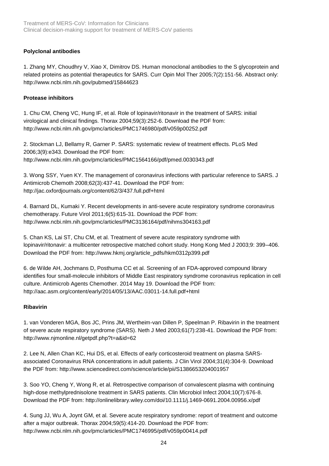#### **Polyclonal antibodies**

1. Zhang MY, Choudhry V, Xiao X, Dimitrov DS. Human monoclonal antibodies to the S glycoprotein and related proteins as potential therapeutics for SARS. Curr Opin Mol Ther 2005;7(2):151-56. Abstract only: <http://www.ncbi.nlm.nih.gov/pubmed/15844623>

#### **Protease inhibitors**

1. Chu CM, Cheng VC, Hung IF, et al. Role of lopinavir/ritonavir in the treatment of SARS: initial virological and clinical findings. Thorax 2004;59(3):252-6. Download the PDF from: <http://www.ncbi.nlm.nih.gov/pmc/articles/PMC1746980/pdf/v059p00252.pdf>

2. Stockman LJ, Bellamy R, Garner P. SARS: systematic review of treatment effects. PLoS Med 2006;3(9):e343. Download the PDF from: <http://www.ncbi.nlm.nih.gov/pmc/articles/PMC1564166/pdf/pmed.0030343.pdf>

3. Wong SSY, Yuen KY. The management of coronavirus infections with particular reference to SARS. J Antimicrob Chemoth 2008;62(3):437-41. Download the PDF from: <http://jac.oxfordjournals.org/content/62/3/437.full.pdf+html>

4. Barnard DL, Kumaki Y. Recent developments in anti-severe acute respiratory syndrome coronavirus chemotherapy. Future Virol 2011;6(5):615-31. Download the PDF from: <http://www.ncbi.nlm.nih.gov/pmc/articles/PMC3136164/pdf/nihms304163.pdf>

5. Chan KS, Lai ST, Chu CM, et al. Treatment of severe acute respiratory syndrome with lopinavir/ritonavir: a multicenter retrospective matched cohort study. Hong Kong Med J 2003;9: 399–406. Download the PDF from: [http://www.hkmj.org/article\\_pdfs/hkm0312p399.pdf](http://www.hkmj.org/article_pdfs/hkm0312p399.pdf)

6. [de Wilde AH,](http://www.ncbi.nlm.nih.gov/pubmed?term=de%20Wilde%20AH%5BAuthor%5D&cauthor=true&cauthor_uid=24841269) [Jochmans D,](http://www.ncbi.nlm.nih.gov/pubmed?term=Jochmans%20D%5BAuthor%5D&cauthor=true&cauthor_uid=24841269) [Posthuma CC](http://www.ncbi.nlm.nih.gov/pubmed?term=Posthuma%20CC%5BAuthor%5D&cauthor=true&cauthor_uid=24841269) et al. Screening of an FDA-approved compound library identifies four small-molecule inhibitors of Middle East respiratory syndrome coronavirus replication in cell culture. [Antimicrob Agents Chemother.](http://www.ncbi.nlm.nih.gov/pubmed/?term=Screening+of+an+FDA-approved+compound+library+identifies+four+small-molecule+inhibitors+of+Middle+East+respiratory+syndrome+coronavirus+replication+in+cell+culture) 2014 May 19. Download the PDF from: <http://aac.asm.org/content/early/2014/05/13/AAC.03011-14.full.pdf+html>

#### **Ribavirin**

1. van Vonderen MGA, Bos JC, Prins JM, Wertheim-van Dillen P, Speelman P. Ribavirin in the treatment of severe acute respiratory syndrome (SARS). Neth J Med 2003;61(7):238-41. Download the PDF from: <http://www.njmonline.nl/getpdf.php?t=a&id=62>

2. Lee N, Allen Chan KC, Hui DS, et al. Effects of early corticosteroid treatment on plasma SARSassociated Coronavirus RNA concentrations in adult patients. J Clin Virol 2004;31(4):304-9. Download the PDF from: <http://www.sciencedirect.com/science/article/pii/S1386653204001957>

3. Soo YO, Cheng Y, Wong R, et al. Retrospective comparison of convalescent plasma with continuing high-dose methylprednisolone treatment in SARS patients. Clin Microbiol Infect 2004;10(7):676-8. Download the PDF from: <http://onlinelibrary.wiley.com/doi/10.1111/j.1469-0691.2004.00956.x/pdf>

4. Sung JJ, Wu A, Joynt GM, et al. Severe acute respiratory syndrome: report of treatment and outcome after a major outbreak. Thorax 2004;59(5):414-20. Download the PDF from: <http://www.ncbi.nlm.nih.gov/pmc/articles/PMC1746995/pdf/v059p00414.pdf>